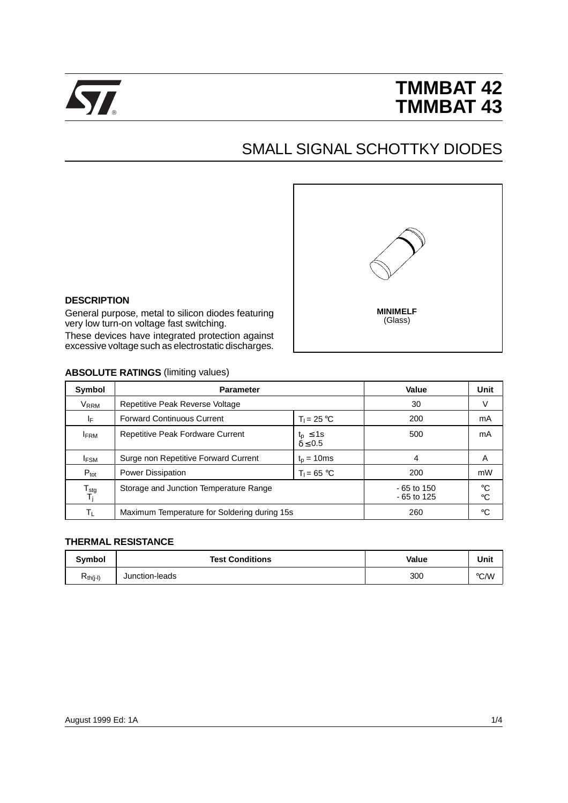

# **TMMBAT 42 TMMBAT 43**

# SMALL SIGNAL SCHOTTKY DIODES



#### **DESCRIPTION**

General purpose, metal to silicon diodes featuring very low turn-on voltage fast switching.

These devices have integrated protection against excessive voltage such as electrostatic discharges.

### **ABSOLUTE RATINGS (limiting values)**

| Symbol                           | <b>Parameter</b>                                                       | Value                        | Unit                       |    |
|----------------------------------|------------------------------------------------------------------------|------------------------------|----------------------------|----|
| V <sub>RRM</sub>                 | Repetitive Peak Reverse Voltage                                        | 30                           | V                          |    |
| ΙF                               | <b>Forward Continuous Current</b>                                      | 200                          | mA                         |    |
| <b>IFRM</b>                      | Repetitive Peak Fordware Current<br>$t_p \leq 1s$<br>$\delta \leq 0.5$ |                              | 500                        | mA |
| <b>IFSM</b>                      | Surge non Repetitive Forward Current<br>$t_n = 10ms$                   |                              | 4                          | A  |
| $P_{\text{tot}}$                 | <b>Power Dissipation</b>                                               | 200                          | mW                         |    |
| ${\mathsf T}_{\text{stg}}$<br>Tj | Storage and Junction Temperature Range                                 | $-65$ to 150<br>$-65$ to 125 | $^{\circ}C$<br>$^{\circ}C$ |    |
| Τı                               | Maximum Temperature for Soldering during 15s                           | 260                          | °C                         |    |

#### **THERMAL RESISTANCE**

| <b>Symbol</b>        | <b>Test Conditions</b> | Value | Unit |
|----------------------|------------------------|-------|------|
| K <sub>th(j-l)</sub> | Junction-leads         | 300   | °C/W |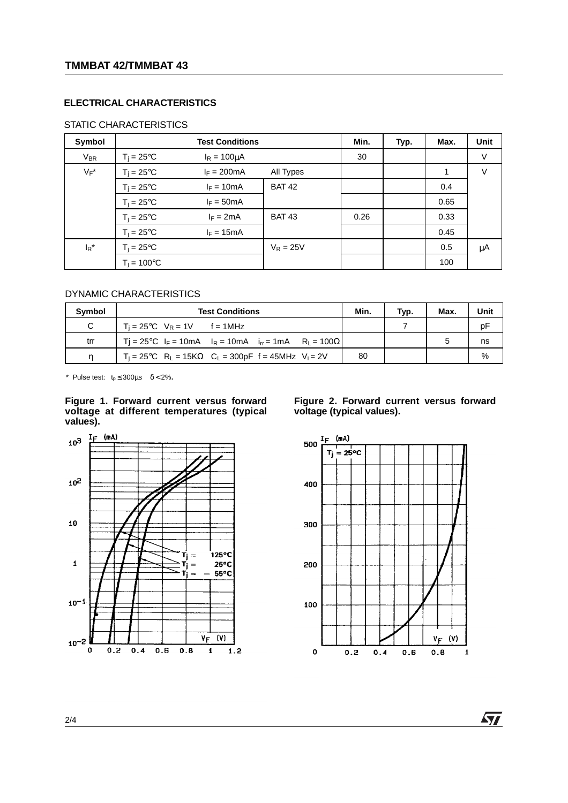# **ELECTRICAL CHARACTERISTICS**

# STATIC CHARACTERISTICS

| Symbol   | <b>Test Conditions</b> |                       |               | Min. | Typ. | Max. | Unit   |
|----------|------------------------|-----------------------|---------------|------|------|------|--------|
| $V_{BR}$ | $T_i = 25^{\circ}C$    | $I_R = 100 \mu A$     |               | 30   |      |      | $\vee$ |
| $V_F^*$  | $T_i = 25^{\circ}C$    | $I_F = 200 \text{mA}$ | All Types     |      |      | 1    | V      |
|          | $T_i = 25^{\circ}C$    | $I_F = 10mA$          | <b>BAT 42</b> |      |      | 0.4  |        |
|          | $T_i = 25^{\circ}C$    | $I_F = 50mA$          |               |      |      | 0.65 |        |
|          | $T_i = 25^{\circ}C$    | $I_F = 2mA$           | <b>BAT 43</b> | 0.26 |      | 0.33 |        |
|          | $T_i = 25^{\circ}C$    | $I_F = 15mA$          |               |      |      | 0.45 |        |
| $I_R^*$  | $T_i = 25^{\circ}C$    |                       | $V_R = 25V$   |      |      | 0.5  | μA     |
|          | $T_i = 100^{\circ}C$   |                       |               |      |      | 100  |        |

### DYNAMIC CHARACTERISTICS

| Symbol | <b>Test Conditions</b>                                                                                 | Min. | Typ. | Max. | Unit |
|--------|--------------------------------------------------------------------------------------------------------|------|------|------|------|
| C      | $T_i = 25^{\circ}C$ $V_R = 1V$ f = 1MHz                                                                |      |      |      | рF   |
| trr    | Ti = 25°C $I_F$ = 10mA $I_R$ = 10mA $I_{rr}$ = 1mA $R_1$ = 100 $\Omega$                                |      |      |      | ns   |
|        | $T_i = 25^{\circ}C$ R <sub>1</sub> = 15K $\Omega$ C <sub>1</sub> = 300pF f = 45MHz V <sub>i</sub> = 2V | 80   |      |      | %    |

\* Pulse test:  $t_p \le 300 \mu s$   $\delta < 2\%$ .

#### **Figure 1. Forward current versus forward voltage at different temperatures (typical values).**



#### **Figure 2. Forward current versus forward voltage (typical values).**



*STI* 

2/4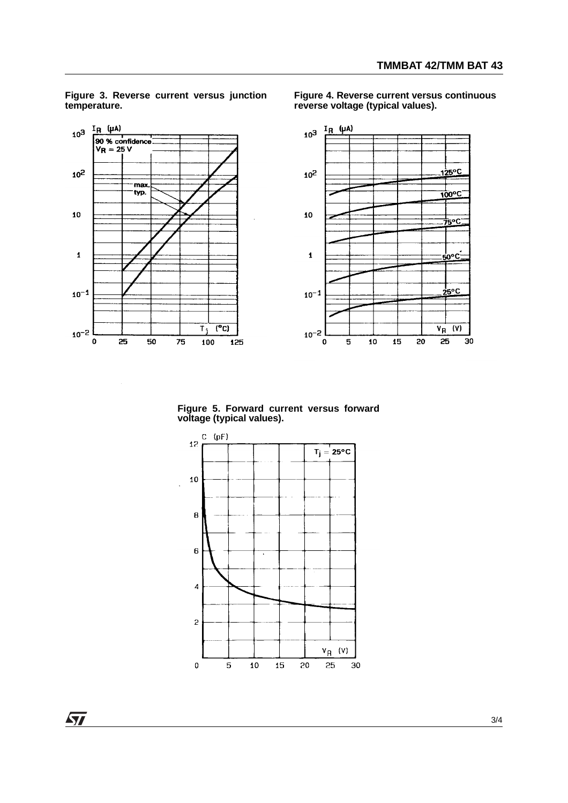

**Figure 3. Reverse current versus junction temperature.**

 $\ddot{\phantom{a}}$ 

**Figure 4. Reverse current versus continuous reverse voltage (typical values).** 

**Figure 5. Forward current versus forward voltage (typical values).**



 $\sqrt{27}$